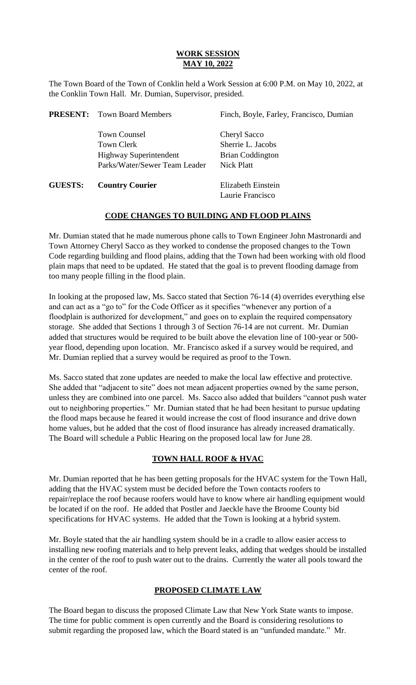# **WORK SESSION MAY 10, 2022**

The Town Board of the Town of Conklin held a Work Session at 6:00 P.M. on May 10, 2022, at the Conklin Town Hall. Mr. Dumian, Supervisor, presided.

|                | <b>PRESENT:</b> Town Board Members | Finch, Boyle, Farley, Francisco, Dumian |
|----------------|------------------------------------|-----------------------------------------|
|                | <b>Town Counsel</b>                | Cheryl Sacco                            |
|                | <b>Town Clerk</b>                  | Sherrie L. Jacobs                       |
|                | <b>Highway Superintendent</b>      | <b>Brian Coddington</b>                 |
|                | Parks/Water/Sewer Team Leader      | Nick Platt                              |
| <b>GUESTS:</b> | <b>Country Courier</b>             | Elizabeth Einstein                      |
|                |                                    | Laurie Francisco                        |

## **CODE CHANGES TO BUILDING AND FLOOD PLAINS**

Mr. Dumian stated that he made numerous phone calls to Town Engineer John Mastronardi and Town Attorney Cheryl Sacco as they worked to condense the proposed changes to the Town Code regarding building and flood plains, adding that the Town had been working with old flood plain maps that need to be updated. He stated that the goal is to prevent flooding damage from too many people filling in the flood plain.

In looking at the proposed law, Ms. Sacco stated that Section 76-14 (4) overrides everything else and can act as a "go to" for the Code Officer as it specifies "whenever any portion of a floodplain is authorized for development," and goes on to explain the required compensatory storage. She added that Sections 1 through 3 of Section 76-14 are not current. Mr. Dumian added that structures would be required to be built above the elevation line of 100-year or 500 year flood, depending upon location. Mr. Francisco asked if a survey would be required, and Mr. Dumian replied that a survey would be required as proof to the Town.

Ms. Sacco stated that zone updates are needed to make the local law effective and protective. She added that "adjacent to site" does not mean adjacent properties owned by the same person, unless they are combined into one parcel. Ms. Sacco also added that builders "cannot push water out to neighboring properties." Mr. Dumian stated that he had been hesitant to pursue updating the flood maps because he feared it would increase the cost of flood insurance and drive down home values, but he added that the cost of flood insurance has already increased dramatically. The Board will schedule a Public Hearing on the proposed local law for June 28.

# **TOWN HALL ROOF & HVAC**

Mr. Dumian reported that he has been getting proposals for the HVAC system for the Town Hall, adding that the HVAC system must be decided before the Town contacts roofers to repair/replace the roof because roofers would have to know where air handling equipment would be located if on the roof. He added that Postler and Jaeckle have the Broome County bid specifications for HVAC systems. He added that the Town is looking at a hybrid system.

Mr. Boyle stated that the air handling system should be in a cradle to allow easier access to installing new roofing materials and to help prevent leaks, adding that wedges should be installed in the center of the roof to push water out to the drains. Currently the water all pools toward the center of the roof.

# **PROPOSED CLIMATE LAW**

The Board began to discuss the proposed Climate Law that New York State wants to impose. The time for public comment is open currently and the Board is considering resolutions to submit regarding the proposed law, which the Board stated is an "unfunded mandate." Mr.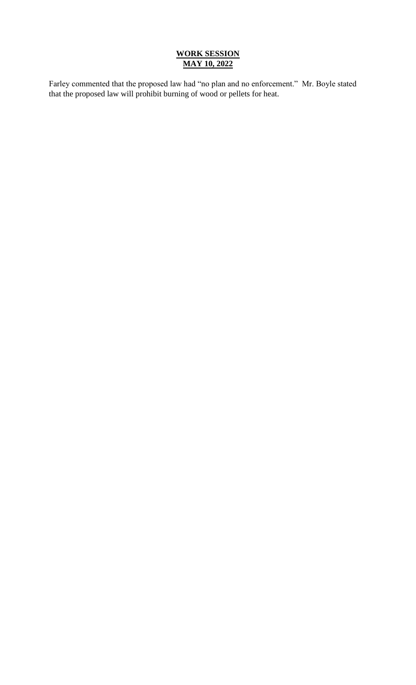# **WORK SESSION MAY 10, 2022**

Farley commented that the proposed law had "no plan and no enforcement." Mr. Boyle stated that the proposed law will prohibit burning of wood or pellets for heat.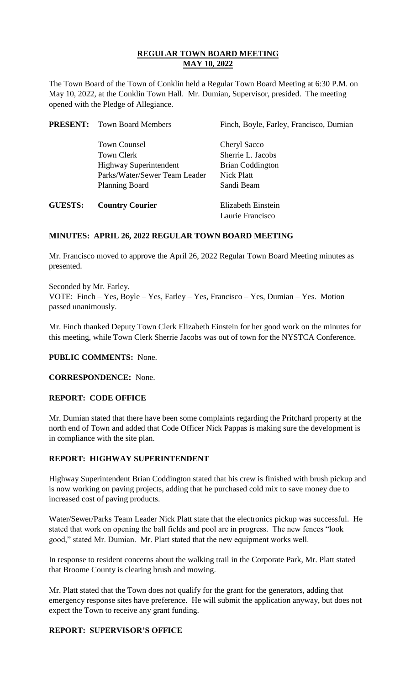The Town Board of the Town of Conklin held a Regular Town Board Meeting at 6:30 P.M. on May 10, 2022, at the Conklin Town Hall. Mr. Dumian, Supervisor, presided. The meeting opened with the Pledge of Allegiance.

|                | <b>PRESENT:</b> Town Board Members | Finch, Boyle, Farley, Francisco, Dumian |
|----------------|------------------------------------|-----------------------------------------|
|                | <b>Town Counsel</b>                | Cheryl Sacco                            |
|                | Town Clerk                         | Sherrie L. Jacobs                       |
|                | <b>Highway Superintendent</b>      | <b>Brian Coddington</b>                 |
|                | Parks/Water/Sewer Team Leader      | Nick Platt                              |
|                | <b>Planning Board</b>              | Sandi Beam                              |
| <b>GUESTS:</b> | <b>Country Courier</b>             | <b>Elizabeth Einstein</b>               |

## **MINUTES: APRIL 26, 2022 REGULAR TOWN BOARD MEETING**

Mr. Francisco moved to approve the April 26, 2022 Regular Town Board Meeting minutes as presented.

Laurie Francisco

Seconded by Mr. Farley. VOTE: Finch – Yes, Boyle – Yes, Farley – Yes, Francisco – Yes, Dumian – Yes. Motion passed unanimously.

Mr. Finch thanked Deputy Town Clerk Elizabeth Einstein for her good work on the minutes for this meeting, while Town Clerk Sherrie Jacobs was out of town for the NYSTCA Conference.

**PUBLIC COMMENTS:** None.

**CORRESPONDENCE:** None.

### **REPORT: CODE OFFICE**

Mr. Dumian stated that there have been some complaints regarding the Pritchard property at the north end of Town and added that Code Officer Nick Pappas is making sure the development is in compliance with the site plan.

## **REPORT: HIGHWAY SUPERINTENDENT**

Highway Superintendent Brian Coddington stated that his crew is finished with brush pickup and is now working on paving projects, adding that he purchased cold mix to save money due to increased cost of paving products.

Water/Sewer/Parks Team Leader Nick Platt state that the electronics pickup was successful. He stated that work on opening the ball fields and pool are in progress. The new fences "look good," stated Mr. Dumian. Mr. Platt stated that the new equipment works well.

In response to resident concerns about the walking trail in the Corporate Park, Mr. Platt stated that Broome County is clearing brush and mowing.

Mr. Platt stated that the Town does not qualify for the grant for the generators, adding that emergency response sites have preference. He will submit the application anyway, but does not expect the Town to receive any grant funding.

## **REPORT: SUPERVISOR'S OFFICE**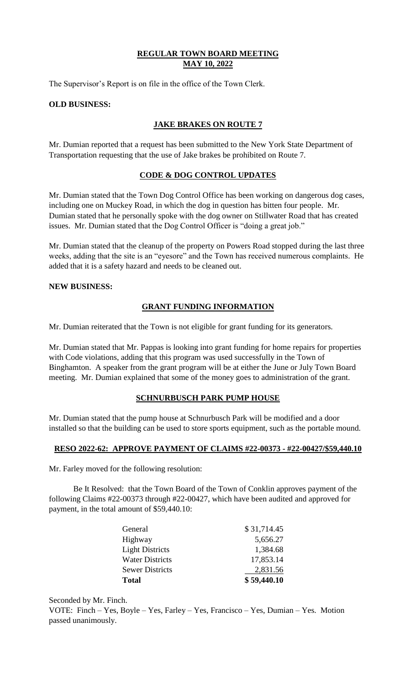The Supervisor's Report is on file in the office of the Town Clerk.

### **OLD BUSINESS:**

## **JAKE BRAKES ON ROUTE 7**

Mr. Dumian reported that a request has been submitted to the New York State Department of Transportation requesting that the use of Jake brakes be prohibited on Route 7.

## **CODE & DOG CONTROL UPDATES**

Mr. Dumian stated that the Town Dog Control Office has been working on dangerous dog cases, including one on Muckey Road, in which the dog in question has bitten four people. Mr. Dumian stated that he personally spoke with the dog owner on Stillwater Road that has created issues. Mr. Dumian stated that the Dog Control Officer is "doing a great job."

Mr. Dumian stated that the cleanup of the property on Powers Road stopped during the last three weeks, adding that the site is an "eyesore" and the Town has received numerous complaints. He added that it is a safety hazard and needs to be cleaned out.

### **NEW BUSINESS:**

## **GRANT FUNDING INFORMATION**

Mr. Dumian reiterated that the Town is not eligible for grant funding for its generators.

Mr. Dumian stated that Mr. Pappas is looking into grant funding for home repairs for properties with Code violations, adding that this program was used successfully in the Town of Binghamton. A speaker from the grant program will be at either the June or July Town Board meeting. Mr. Dumian explained that some of the money goes to administration of the grant.

#### **SCHNURBUSCH PARK PUMP HOUSE**

Mr. Dumian stated that the pump house at Schnurbusch Park will be modified and a door installed so that the building can be used to store sports equipment, such as the portable mound.

#### **RESO 2022-62: APPROVE PAYMENT OF CLAIMS #22-00373 - #22-00427/\$59,440.10**

Mr. Farley moved for the following resolution:

Be It Resolved: that the Town Board of the Town of Conklin approves payment of the following Claims #22-00373 through #22-00427, which have been audited and approved for payment, in the total amount of \$59,440.10:

| <b>Total</b>           | \$59,440.10 |
|------------------------|-------------|
| <b>Sewer Districts</b> | 2,831.56    |
| <b>Water Districts</b> | 17,853.14   |
| <b>Light Districts</b> | 1,384.68    |
| Highway                | 5,656.27    |
| General                | \$31,714.45 |

Seconded by Mr. Finch.

VOTE: Finch – Yes, Boyle – Yes, Farley – Yes, Francisco – Yes, Dumian – Yes. Motion passed unanimously.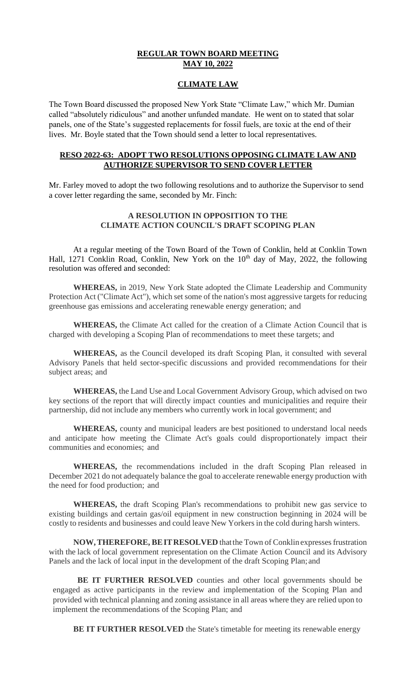### **CLIMATE LAW**

The Town Board discussed the proposed New York State "Climate Law," which Mr. Dumian called "absolutely ridiculous" and another unfunded mandate. He went on to stated that solar panels, one of the State's suggested replacements for fossil fuels, are toxic at the end of their lives. Mr. Boyle stated that the Town should send a letter to local representatives.

## **RESO 2022-63: ADOPT TWO RESOLUTIONS OPPOSING CLIMATE LAW AND AUTHORIZE SUPERVISOR TO SEND COVER LETTER**

Mr. Farley moved to adopt the two following resolutions and to authorize the Supervisor to send a cover letter regarding the same, seconded by Mr. Finch:

# **A RESOLUTION IN OPPOSITION TO THE CLIMATE ACTION COUNCIL'S DRAFT SCOPING PLAN**

At a regular meeting of the Town Board of the Town of Conklin, held at Conklin Town Hall, 1271 Conklin Road, Conklin, New York on the  $10<sup>th</sup>$  day of May, 2022, the following resolution was offered and seconded:

**WHEREAS,** in 2019, New York State adopted the Climate Leadership and Community Protection Act ("Climate Act"), which set some of the nation's most aggressive targets for reducing greenhouse gas emissions and accelerating renewable energy generation; and

**WHEREAS,** the Climate Act called for the creation of a Climate Action Council that is charged with developing a Scoping Plan of recommendations to meet these targets; and

**WHEREAS,** as the Council developed its draft Scoping Plan, it consulted with several Advisory Panels that held sector-specific discussions and provided recommendations for their subject areas; and

**WHEREAS,** the Land Use and Local Government Advisory Group, which advised on two key sections of the report that will directly impact counties and municipalities and require their partnership, did not include any members who currently work in local government; and

**WHEREAS,** county and municipal leaders are best positioned to understand local needs and anticipate how meeting the Climate Act's goals could disproportionately impact their communities and economies; and

**WHEREAS,** the recommendations included in the draft Scoping Plan released in December 2021 do not adequately balance the goal to accelerate renewable energy production with the need for food production; and

**WHEREAS,** the draft Scoping Plan's recommendations to prohibit new gas service to existing buildings and certain gas/oil equipment in new construction beginning in 2024 will be costly to residents and businesses and could leave New Yorkers in the cold during harsh winters.

**NOW,THEREFORE, BEITRESOLVED** thatthe Town of Conklin expressesfrustration with the lack of local government representation on the Climate Action Council and its Advisory Panels and the lack of local input in the development of the draft Scoping Plan; and

BE IT FURTHER RESOLVED counties and other local governments should be engaged as active participants in the review and implementation of the Scoping Plan and provided with technical planning and zoning assistance in all areas where they are relied upon to implement the recommendations of the Scoping Plan; and

**BE IT FURTHER RESOLVED** the State's timetable for meeting its renewable energy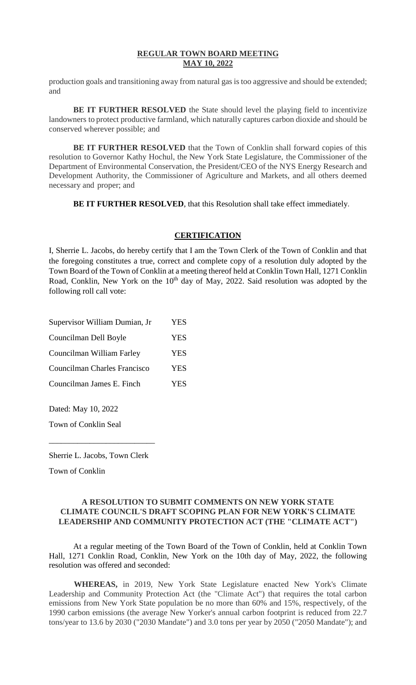production goals and transitioning away from natural gas is too aggressive and should be extended; and

**BE IT FURTHER RESOLVED** the State should level the playing field to incentivize landowners to protect productive farmland, which naturally captures carbon dioxide and should be conserved wherever possible; and

**BE IT FURTHER RESOLVED** that the Town of Conklin shall forward copies of this resolution to Governor Kathy Hochul, the New York State Legislature, the Commissioner of the Department of Environmental Conservation, the President/CEO of the NYS Energy Research and Development Authority, the Commissioner of Agriculture and Markets, and all others deemed necessary and proper; and

**BE IT FURTHER RESOLVED**, that this Resolution shall take effect immediately.

### **CERTIFICATION**

I, Sherrie L. Jacobs, do hereby certify that I am the Town Clerk of the Town of Conklin and that the foregoing constitutes a true, correct and complete copy of a resolution duly adopted by the Town Board of the Town of Conklin at a meeting thereof held at Conklin Town Hall, 1271 Conklin Road, Conklin, New York on the  $10<sup>th</sup>$  day of May, 2022. Said resolution was adopted by the following roll call vote:

| Supervisor William Dumian, Jr | <b>YES</b> |
|-------------------------------|------------|
| Councilman Dell Boyle         | <b>YES</b> |
| Councilman William Farley     | YES        |
| Councilman Charles Francisco  | <b>YES</b> |
| Councilman James E. Finch     | YES        |
|                               |            |

Dated: May 10, 2022

Town of Conklin Seal

\_\_\_\_\_\_\_\_\_\_\_\_\_\_\_\_\_\_\_\_\_\_\_\_\_\_

Town of Conklin

### **A RESOLUTION TO SUBMIT COMMENTS ON NEW YORK STATE CLIMATE COUNCIL'S DRAFT SCOPING PLAN FOR NEW YORK'S CLIMATE LEADERSHIP AND COMMUNITY PROTECTION ACT (THE "CLIMATE ACT")**

At a regular meeting of the Town Board of the Town of Conklin, held at Conklin Town Hall, 1271 Conklin Road, Conklin, New York on the 10th day of May, 2022, the following resolution was offered and seconded:

**WHEREAS,** in 2019, New York State Legislature enacted New York's Climate Leadership and Community Protection Act (the "Climate Act") that requires the total carbon emissions from New York State population be no more than 60% and 15%, respectively, of the 1990 carbon emissions (the average New Yorker's annual carbon footprint is reduced from 22.7 tons/year to 13.6 by 2030 ("2030 Mandate") and 3.0 tons per year by 2050 ("2050 Mandate"); and

Sherrie L. Jacobs, Town Clerk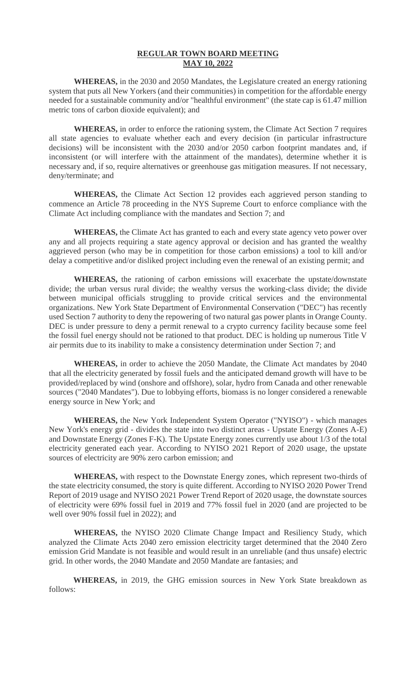**WHEREAS,** in the 2030 and 2050 Mandates, the Legislature created an energy rationing system that puts all New Yorkers (and their communities) in competition for the affordable energy needed for a sustainable community and/or "healthful environment" (the state cap is 61.47 million metric tons of carbon dioxide equivalent); and

**WHEREAS,** in order to enforce the rationing system, the Climate Act Section 7 requires all state agencies to evaluate whether each and every decision (in particular infrastructure decisions) will be inconsistent with the 2030 and/or 2050 carbon footprint mandates and, if inconsistent (or will interfere with the attainment of the mandates), determine whether it is necessary and, if so, require alternatives or greenhouse gas mitigation measures. If not necessary, deny/terminate; and

**WHEREAS,** the Climate Act Section 12 provides each aggrieved person standing to commence an Article 78 proceeding in the NYS Supreme Court to enforce compliance with the Climate Act including compliance with the mandates and Section 7; and

**WHEREAS,** the Climate Act has granted to each and every state agency veto power over any and all projects requiring a state agency approval or decision and has granted the wealthy aggrieved person (who may be in competition for those carbon emissions) a tool to kill and/or delay a competitive and/or disliked project including even the renewal of an existing permit; and

**WHEREAS,** the rationing of carbon emissions will exacerbate the upstate/downstate divide; the urban versus rural divide; the wealthy versus the working-class divide; the divide between municipal officials struggling to provide critical services and the environmental organizations. New York State Department of Environmental Conservation ("DEC") has recently used Section 7 authority to deny the repowering of two natural gas power plants in Orange County. DEC is under pressure to deny a permit renewal to a crypto currency facility because some feel the fossil fuel energy should not be rationed to that product. DEC is holding up numerous Title V air permits due to its inability to make a consistency determination under Section 7; and

**WHEREAS,** in order to achieve the 2050 Mandate, the Climate Act mandates by 2040 that all the electricity generated by fossil fuels and the anticipated demand growth will have to be provided/replaced by wind (onshore and offshore), solar, hydro from Canada and other renewable sources ("2040 Mandates"). Due to lobbying efforts, biomass is no longer considered a renewable energy source in New York; and

**WHEREAS,** the New York Independent System Operator ("NYISO") - which manages New York's energy grid - divides the state into two distinct areas - Upstate Energy (Zones A-E) and Downstate Energy (Zones F-K). The Upstate Energy zones currently use about 1/3 of the total electricity generated each year. According to NYISO 2021 Report of 2020 usage, the upstate sources of electricity are 90% zero carbon emission; and

**WHEREAS,** with respect to the Downstate Energy zones, which represent two-thirds of the state electricity consumed, the story is quite different. According to NYISO 2020 Power Trend Report of 2019 usage and NYISO 2021 Power Trend Report of 2020 usage, the downstate sources of electricity were 69% fossil fuel in 2019 and 77% fossil fuel in 2020 (and are projected to be well over 90% fossil fuel in 2022); and

**WHEREAS,** the NYISO 2020 Climate Change Impact and Resiliency Study, which analyzed the Climate Acts 2040 zero emission electricity target determined that the 2040 Zero emission Grid Mandate is not feasible and would result in an unreliable (and thus unsafe) electric grid. In other words, the 2040 Mandate and 2050 Mandate are fantasies; and

**WHEREAS,** in 2019, the GHG emission sources in New York State breakdown as follows: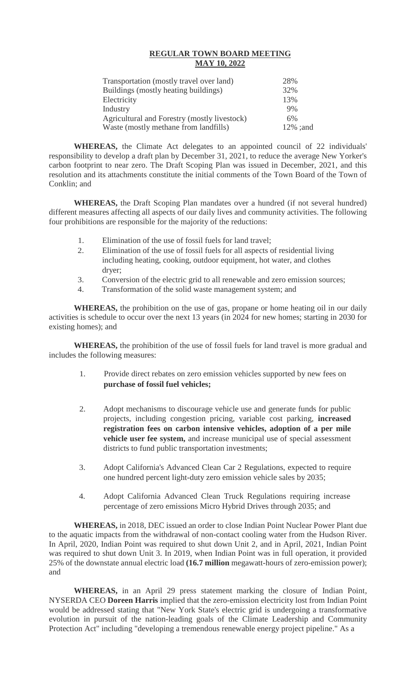| <b>MAY 10, 2022</b>                          |          |
|----------------------------------------------|----------|
| Transportation (mostly travel over land)     | 28%      |
| Buildings (mostly heating buildings)         | 32%      |
| Electricity                                  | 13%      |
| Industry                                     | 9%       |
| Agricultural and Forestry (mostly livestock) | 6%       |
| Waste (mostly methane from landfills)        | 12% ;and |

**WHEREAS,** the Climate Act delegates to an appointed council of 22 individuals' responsibility to develop a draft plan by December 31, 2021, to reduce the average New Yorker's carbon footprint to near zero. The Draft Scoping Plan was issued in December, 2021, and this resolution and its attachments constitute the initial comments of the Town Board of the Town of Conklin; and

**WHEREAS,** the Draft Scoping Plan mandates over a hundred (if not several hundred) different measures affecting all aspects of our daily lives and community activities. The following four prohibitions are responsible for the majority of the reductions:

- 1. Elimination of the use of fossil fuels for land travel;
- 2. Elimination of the use of fossil fuels for all aspects of residential living including heating, cooking, outdoor equipment, hot water, and clothes dryer;
- 3. Conversion of the electric grid to all renewable and zero emission sources;
- 4. Transformation of the solid waste management system; and

**WHEREAS,** the prohibition on the use of gas, propane or home heating oil in our daily activities is schedule to occur over the next 13 years (in 2024 for new homes; starting in 2030 for existing homes); and

**WHEREAS,** the prohibition of the use of fossil fuels for land travel is more gradual and includes the following measures:

- 1. Provide direct rebates on zero emission vehicles supported by new fees on **purchase of fossil fuel vehicles;**
- 2. Adopt mechanisms to discourage vehicle use and generate funds for public projects, including congestion pricing, variable cost parking, **increased registration fees on carbon intensive vehicles, adoption of a per mile vehicle user fee system,** and increase municipal use of special assessment districts to fund public transportation investments;
- 3. Adopt California's Advanced Clean Car 2 Regulations, expected to require one hundred percent light-duty zero emission vehicle sales by 2035;
- 4. Adopt California Advanced Clean Truck Regulations requiring increase percentage of zero emissions Micro Hybrid Drives through 2035; and

**WHEREAS,** in 2018, DEC issued an order to close Indian Point Nuclear Power Plant due to the aquatic impacts from the withdrawal of non-contact cooling water from the Hudson River. In April, 2020, Indian Point was required to shut down Unit 2, and in April, 2021, Indian Point was required to shut down Unit 3. In 2019, when Indian Point was in full operation, it provided 25% of the downstate annual electric load **(16.7 million** megawatt-hours of zero-emission power); and

**WHEREAS,** in an April 29 press statement marking the closure of Indian Point, NYSERDA CEO **Doreen Harris** implied that the zero-emission electricity lost from Indian Point would be addressed stating that "New York State's electric grid is undergoing a transformative evolution in pursuit of the nation-leading goals of the Climate Leadership and Community Protection Act" including "developing a tremendous renewable energy project pipeline." As a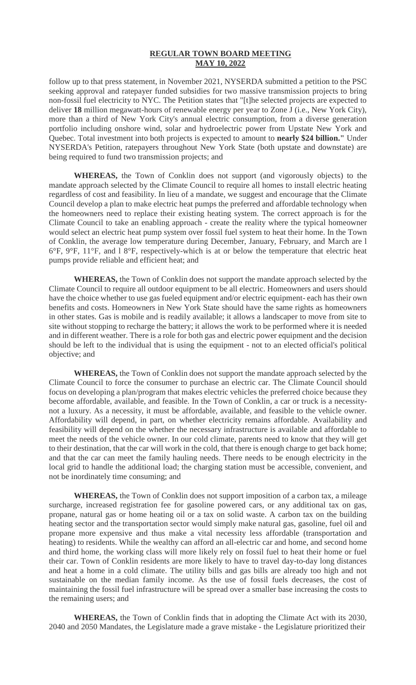follow up to that press statement, in November 2021, NYSERDA submitted a petition to the PSC seeking approval and ratepayer funded subsidies for two massive transmission projects to bring non-fossil fuel electricity to NYC. The Petition states that "[t]he selected projects are expected to deliver **18** million megawatt-hours of renewable energy per year to Zone J (i.e., New York City), more than a third of New York City's annual electric consumption, from a diverse generation portfolio including onshore wind, solar and hydroelectric power from Upstate New York and Quebec. Total investment into both projects is expected to amount to **nearly \$24 billion."** Under NYSERDA's Petition, ratepayers throughout New York State (both upstate and downstate) are being required to fund two transmission projects; and

**WHEREAS,** the Town of Conklin does not support (and vigorously objects) to the mandate approach selected by the Climate Council to require all homes to install electric heating regardless of cost and feasibility. In lieu of a mandate, we suggest and encourage that the Climate Council develop a plan to make electric heat pumps the preferred and affordable technology when the homeowners need to replace their existing heating system. The correct approach is for the Climate Council to take an enabling approach - create the reality where the typical homeowner would select an electric heat pump system over fossil fuel system to heat their home. In the Town of Conklin, the average low temperature during December, January, February, and March are l 6 $\degree$ F, 9 $\degree$ F, 11 $\degree$ F, and 18 $\degree$ F, respectively-which is at or below the temperature that electric heat pumps provide reliable and efficient heat; and

**WHEREAS,** the Town of Conklin does not support the mandate approach selected by the Climate Council to require all outdoor equipment to be all electric. Homeowners and users should have the choice whether to use gas fueled equipment and/or electric equipment- each has their own benefits and costs. Homeowners in New York State should have the same rights as homeowners in other states. Gas is mobile and is readily available; it allows a landscaper to move from site to site without stopping to recharge the battery; it allows the work to be performed where it is needed and in different weather. There is a role for both gas and electric power equipment and the decision should be left to the individual that is using the equipment - not to an elected official's political objective; and

**WHEREAS,** the Town of Conklin does not support the mandate approach selected by the Climate Council to force the consumer to purchase an electric car. The Climate Council should focus on developing a plan/program that makes electric vehicles the preferred choice because they become affordable, available, and feasible. In the Town of Conklin, a car or truck is a necessitynot a luxury. As a necessity, it must be affordable, available, and feasible to the vehicle owner. Affordability will depend, in part, on whether electricity remains affordable. Availability and feasibility will depend on the whether the necessary infrastructure is available and affordable to meet the needs of the vehicle owner. In our cold climate, parents need to know that they will get to their destination, that the car will work in the cold, that there is enough charge to get back home; and that the car can meet the family hauling needs. There needs to be enough electricity in the local grid to handle the additional load; the charging station must be accessible, convenient, and not be inordinately time consuming; and

**WHEREAS,** the Town of Conklin does not support imposition of a carbon tax, a mileage surcharge, increased registration fee for gasoline powered cars, or any additional tax on gas, propane, natural gas or home heating oil or a tax on solid waste. A carbon tax on the building heating sector and the transportation sector would simply make natural gas, gasoline, fuel oil and propane more expensive and thus make a vital necessity less affordable (transportation and heating) to residents. While the wealthy can afford an all-electric car and home, and second home and third home, the working class will more likely rely on fossil fuel to heat their home or fuel their car. Town of Conklin residents are more likely to have to travel day-to-day long distances and heat a home in a cold climate. The utility bills and gas bills are already too high and not sustainable on the median family income. As the use of fossil fuels decreases, the cost of maintaining the fossil fuel infrastructure will be spread over a smaller base increasing the costs to the remaining users; and

**WHEREAS,** the Town of Conklin finds that in adopting the Climate Act with its 2030, 2040 and 2050 Mandates, the Legislature made a grave mistake - the Legislature prioritized their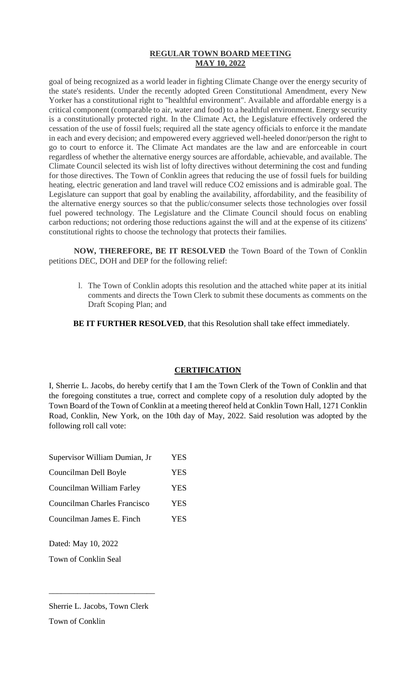goal of being recognized as a world leader in fighting Climate Change over the energy security of the state's residents. Under the recently adopted Green Constitutional Amendment, every New Yorker has a constitutional right to "healthful environment". Available and affordable energy is a critical component (comparable to air, water and food) to a healthful environment. Energy security is a constitutionally protected right. In the Climate Act, the Legislature effectively ordered the cessation of the use of fossil fuels; required all the state agency officials to enforce it the mandate in each and every decision; and empowered every aggrieved well-heeled donor/person the right to go to court to enforce it. The Climate Act mandates are the law and are enforceable in court regardless of whether the alternative energy sources are affordable, achievable, and available. The Climate Council selected its wish list of lofty directives without determining the cost and funding for those directives. The Town of Conklin agrees that reducing the use of fossil fuels for building heating, electric generation and land travel will reduce CO2 emissions and is admirable goal. The Legislature can support that goal by enabling the availability, affordability, and the feasibility of the alternative energy sources so that the public/consumer selects those technologies over fossil fuel powered technology. The Legislature and the Climate Council should focus on enabling carbon reductions; not ordering those reductions against the will and at the expense of its citizens' constitutional rights to choose the technology that protects their families.

**NOW, THEREFORE, BE IT RESOLVED** the Town Board of the Town of Conklin petitions DEC, DOH and DEP for the following relief:

l. The Town of Conklin adopts this resolution and the attached white paper at its initial comments and directs the Town Clerk to submit these documents as comments on the Draft Scoping Plan; and

**BE IT FURTHER RESOLVED**, that this Resolution shall take effect immediately.

# **CERTIFICATION**

I, Sherrie L. Jacobs, do hereby certify that I am the Town Clerk of the Town of Conklin and that the foregoing constitutes a true, correct and complete copy of a resolution duly adopted by the Town Board of the Town of Conklin at a meeting thereof held at Conklin Town Hall, 1271 Conklin Road, Conklin, New York, on the 10th day of May, 2022. Said resolution was adopted by the following roll call vote:

| Supervisor William Dumian, Jr | YES        |
|-------------------------------|------------|
| Councilman Dell Boyle         | <b>YES</b> |
| Councilman William Farley     | <b>YES</b> |
| Councilman Charles Francisco  | <b>YES</b> |
| Councilman James E. Finch     | <b>YES</b> |
|                               |            |

Dated: May 10, 2022

Town of Conklin Seal

\_\_\_\_\_\_\_\_\_\_\_\_\_\_\_\_\_\_\_\_\_\_\_\_\_\_

Town of Conklin

Sherrie L. Jacobs, Town Clerk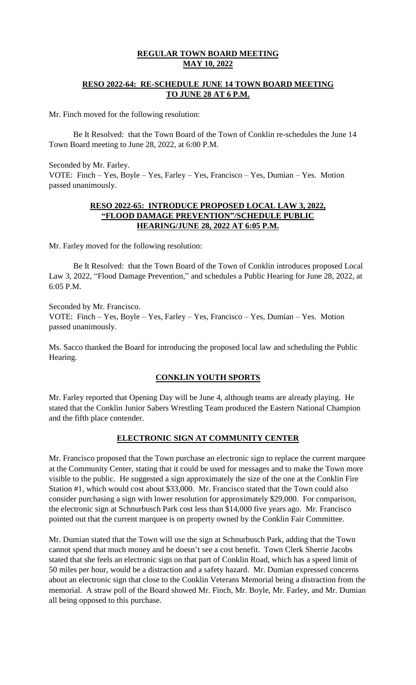## **RESO 2022-64: RE-SCHEDULE JUNE 14 TOWN BOARD MEETING TO JUNE 28 AT 6 P.M.**

Mr. Finch moved for the following resolution:

Be It Resolved: that the Town Board of the Town of Conklin re-schedules the June 14 Town Board meeting to June 28, 2022, at 6:00 P.M.

Seconded by Mr. Farley.

VOTE: Finch – Yes, Boyle – Yes, Farley – Yes, Francisco – Yes, Dumian – Yes. Motion passed unanimously.

## **RESO 2022-65: INTRODUCE PROPOSED LOCAL LAW 3, 2022, "FLOOD DAMAGE PREVENTION"/SCHEDULE PUBLIC HEARING/JUNE 28, 2022 AT 6:05 P.M.**

Mr. Farley moved for the following resolution:

Be It Resolved: that the Town Board of the Town of Conklin introduces proposed Local Law 3, 2022, "Flood Damage Prevention," and schedules a Public Hearing for June 28, 2022, at 6:05 P.M.

Seconded by Mr. Francisco. VOTE: Finch – Yes, Boyle – Yes, Farley – Yes, Francisco – Yes, Dumian – Yes. Motion passed unanimously.

Ms. Sacco thanked the Board for introducing the proposed local law and scheduling the Public Hearing.

## **CONKLIN YOUTH SPORTS**

Mr. Farley reported that Opening Day will be June 4, although teams are already playing. He stated that the Conklin Junior Sabers Wrestling Team produced the Eastern National Champion and the fifth place contender.

## **ELECTRONIC SIGN AT COMMUNITY CENTER**

Mr. Francisco proposed that the Town purchase an electronic sign to replace the current marquee at the Community Center, stating that it could be used for messages and to make the Town more visible to the public. He suggested a sign approximately the size of the one at the Conklin Fire Station #1, which would cost about \$33,000. Mr. Francisco stated that the Town could also consider purchasing a sign with lower resolution for approximately \$29,000. For comparison, the electronic sign at Schnurbusch Park cost less than \$14,000 five years ago. Mr. Francisco pointed out that the current marquee is on property owned by the Conklin Fair Committee.

Mr. Dumian stated that the Town will use the sign at Schnurbusch Park, adding that the Town cannot spend that much money and he doesn't see a cost benefit. Town Clerk Sherrie Jacobs stated that she feels an electronic sign on that part of Conklin Road, which has a speed limit of 50 miles per hour, would be a distraction and a safety hazard. Mr. Dumian expressed concerns about an electronic sign that close to the Conklin Veterans Memorial being a distraction from the memorial. A straw poll of the Board showed Mr. Finch, Mr. Boyle, Mr. Farley, and Mr. Dumian all being opposed to this purchase.